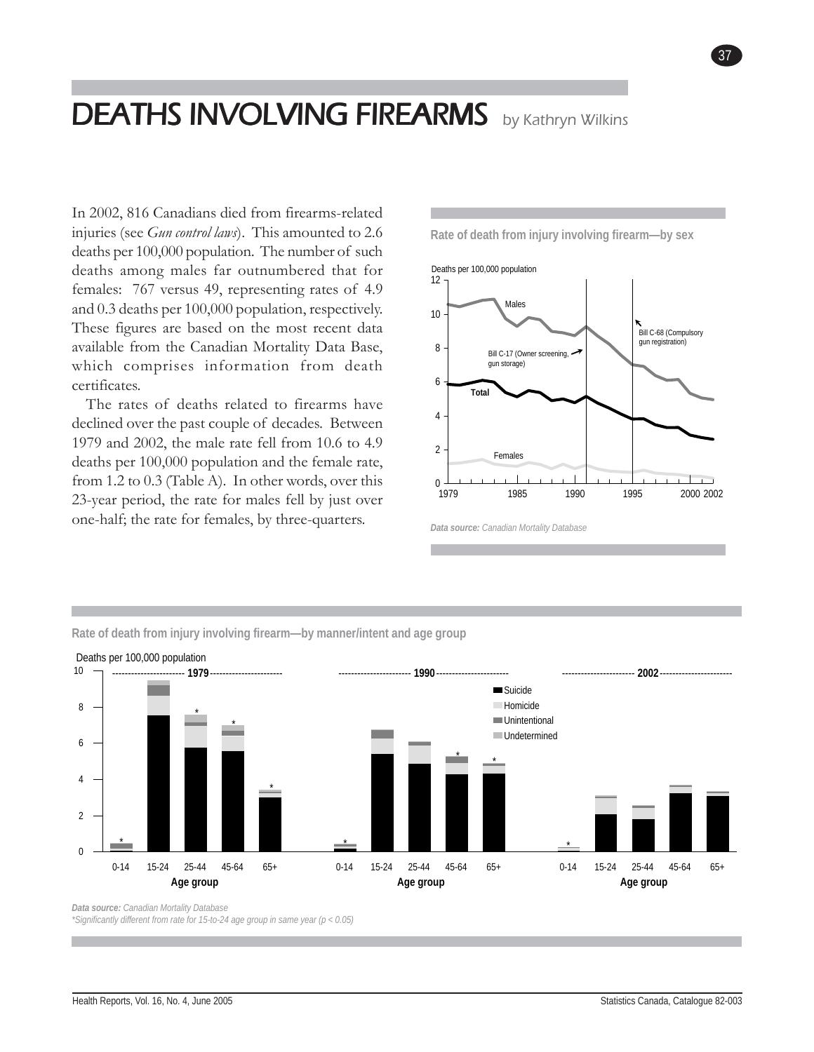# DEATHS INVOLVING FIREARMS **by Kathryn Wilkins**

In 2002, 816 Canadians died from firearms-related injuries (see *Gun control laws*). This amounted to 2.6 deaths per 100,000 population. The number of such deaths among males far outnumbered that for females: 767 versus 49, representing rates of 4.9 and 0.3 deaths per 100,000 population, respectively. These figures are based on the most recent data available from the Canadian Mortality Data Base, which comprises information from death certificates.

The rates of deaths related to firearms have declined over the past couple of decades. Between 1979 and 2002, the male rate fell from 10.6 to 4.9 deaths per 100,000 population and the female rate, from 1.2 to 0.3 (Table A). In other words, over this 23-year period, the rate for males fell by just over one-half; the rate for females, by three-quarters.

**Rate of death from injury involving firearm—by sex**

*Deaths involving firearms* 37



*Data source: Canadian Mortality Database*



**Rate of death from injury involving firearm—by manner/intent and age group**

*Data source: Canadian Mortality Database \*Significantly different from rate for 15-to-24 age group in same year (p < 0.05)*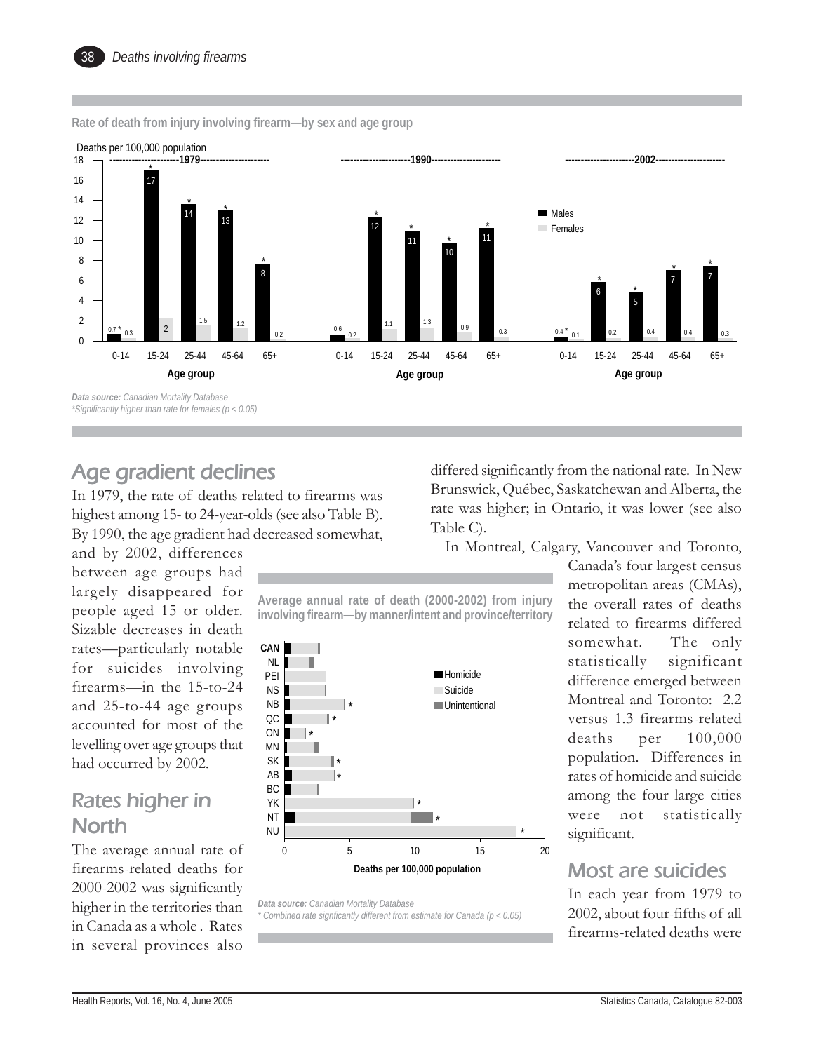1 17 14 13 8 1 12 11 10 11  $0 - 14$ 6 5 7 7  $0 - 14$ 2 2 <sup>1</sup>  $65+$  0-14 <sup>1</sup> <sup>1</sup> <sup>1</sup>  $0.14$   $0.79$   $0.0511$   $0.0511$   $0.0511$   $0.0511$ 0-14 15-24 25-44 45-64 65+ 0-14 15-24 25-44 45-64 65+ 0-14 15-24 25-44 45-64 65+  $\Omega$ 2 4 6 8 10 12 14 16 18 **Males Females** \* **Age group** \* \* **Age group Age group** \* \* \* Deaths per 100,000 population \* \*  $\frac{1}{2}$   $\frac{1}{2}$ \* \* **----------------------1979---------------------- ----------------------1990---------------------- ----------------------2002----------------------**  $\frac{0.7}{0.3}$  0.3 0.4 0.4 0.4 0.4 0.4 0.4 0.3 0.4 0.4 0.4 0.4 0.3 *Data source: Canadian Mortality Database \*Significantly higher than rate for females (p < 0.05)*

**Rate of death from injury involving firearm—by sex and age group**

#### Age gradient declines

In 1979, the rate of deaths related to firearms was highest among 15- to 24-year-olds (see also Table B). By 1990, the age gradient had decreased somewhat,

and by 2002, differences between age groups had largely disappeared for people aged 15 or older. Sizable decreases in death rates—particularly notable for suicides involving firearms—in the 15-to-24 and 25-to-44 age groups accounted for most of the levelling over age groups that had occurred by 2002.

### Rates higher in **North**

The average annual rate of firearms-related deaths for 2000-2002 was significantly higher in the territories than in Canada as a whole . Rates in several provinces also

differed significantly from the national rate. In New Brunswick, Québec, Saskatchewan and Alberta, the rate was higher; in Ontario, it was lower (see also Table C).

In Montreal, Calgary, Vancouver and Toronto,

**Average annual rate of death (2000-2002) from injury involving firearm—by manner/intent and province/territory**



*Data source: Canadian Mortality Database \* Combined rate signficantly different from estimate for Canada (p < 0.05)* Canada's four largest census metropolitan areas (CMAs), the overall rates of deaths related to firearms differed somewhat. The only statistically significant difference emerged between Montreal and Toronto: 2.2 versus 1.3 firearms-related deaths per 100,000 population. Differences in rates of homicide and suicide among the four large cities were not statistically significant.

#### Most are suicides

In each year from 1979 to 2002, about four-fifths of all firearms-related deaths were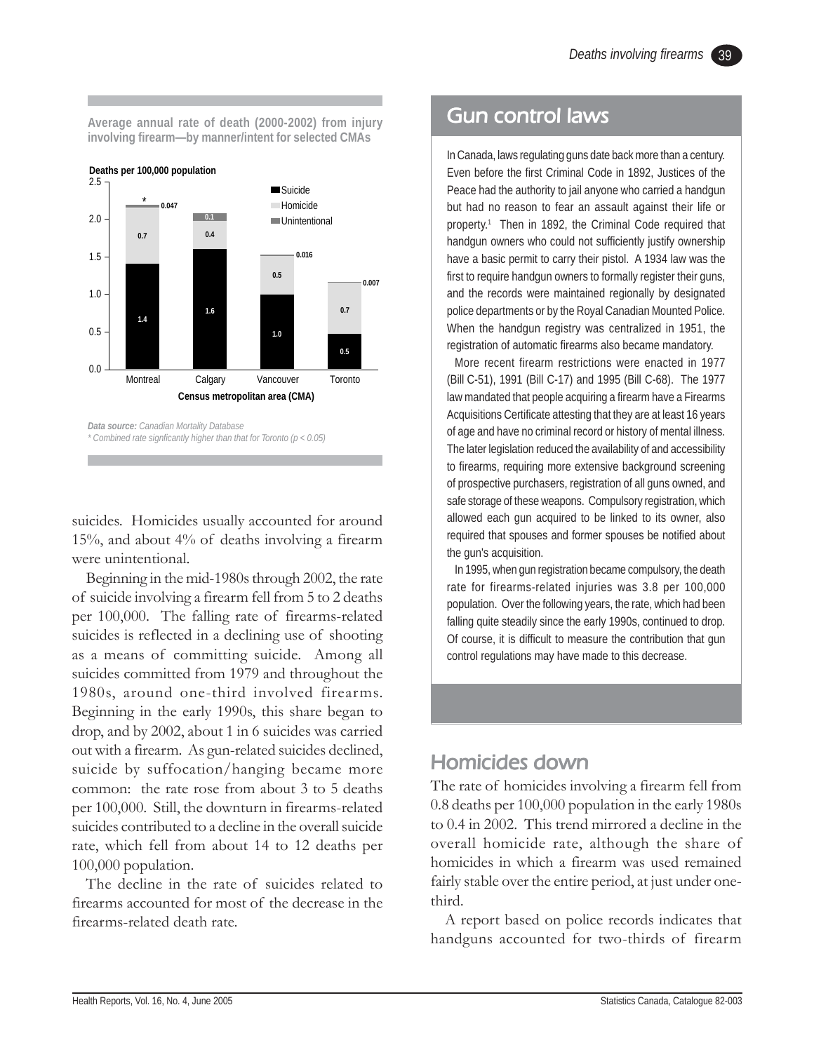**Average annual rate of death (2000-2002) from injury involving firearm—by manner/intent for selected CMAs**



suicides. Homicides usually accounted for around 15%, and about 4% of deaths involving a firearm were unintentional.

Beginning in the mid-1980s through 2002, the rate of suicide involving a firearm fell from 5 to 2 deaths per 100,000. The falling rate of firearms-related suicides is reflected in a declining use of shooting as a means of committing suicide. Among all suicides committed from 1979 and throughout the 1980s, around one-third involved firearms. Beginning in the early 1990s, this share began to drop, and by 2002, about 1 in 6 suicides was carried out with a firearm. As gun-related suicides declined, suicide by suffocation/hanging became more common: the rate rose from about 3 to 5 deaths per 100,000. Still, the downturn in firearms-related suicides contributed to a decline in the overall suicide rate, which fell from about 14 to 12 deaths per 100,000 population.

The decline in the rate of suicides related to firearms accounted for most of the decrease in the firearms-related death rate.

### Gun control laws

In Canada, laws regulating guns date back more than a century. Even before the first Criminal Code in 1892, Justices of the Peace had the authority to jail anyone who carried a handgun but had no reason to fear an assault against their life or property.<sup>1</sup> Then in 1892, the Criminal Code required that handgun owners who could not sufficiently justify ownership have a basic permit to carry their pistol. A 1934 law was the first to require handgun owners to formally register their guns, and the records were maintained regionally by designated police departments or by the Royal Canadian Mounted Police. When the handgun registry was centralized in 1951, the registration of automatic firearms also became mandatory.

More recent firearm restrictions were enacted in 1977 (Bill C-51), 1991 (Bill C-17) and 1995 (Bill C-68). The 1977 law mandated that people acquiring a firearm have a Firearms Acquisitions Certificate attesting that they are at least 16 years of age and have no criminal record or history of mental illness. The later legislation reduced the availability of and accessibility to firearms, requiring more extensive background screening of prospective purchasers, registration of all guns owned, and safe storage of these weapons. Compulsory registration, which allowed each gun acquired to be linked to its owner, also required that spouses and former spouses be notified about the gun's acquisition.

In 1995, when gun registration became compulsory, the death rate for firearms-related injuries was 3.8 per 100,000 population. Over the following years, the rate, which had been falling quite steadily since the early 1990s, continued to drop. Of course, it is difficult to measure the contribution that gun control regulations may have made to this decrease.

# Homicides down

The rate of homicides involving a firearm fell from 0.8 deaths per 100,000 population in the early 1980s to 0.4 in 2002. This trend mirrored a decline in the overall homicide rate, although the share of homicides in which a firearm was used remained fairly stable over the entire period, at just under onethird.

A report based on police records indicates that handguns accounted for two-thirds of firearm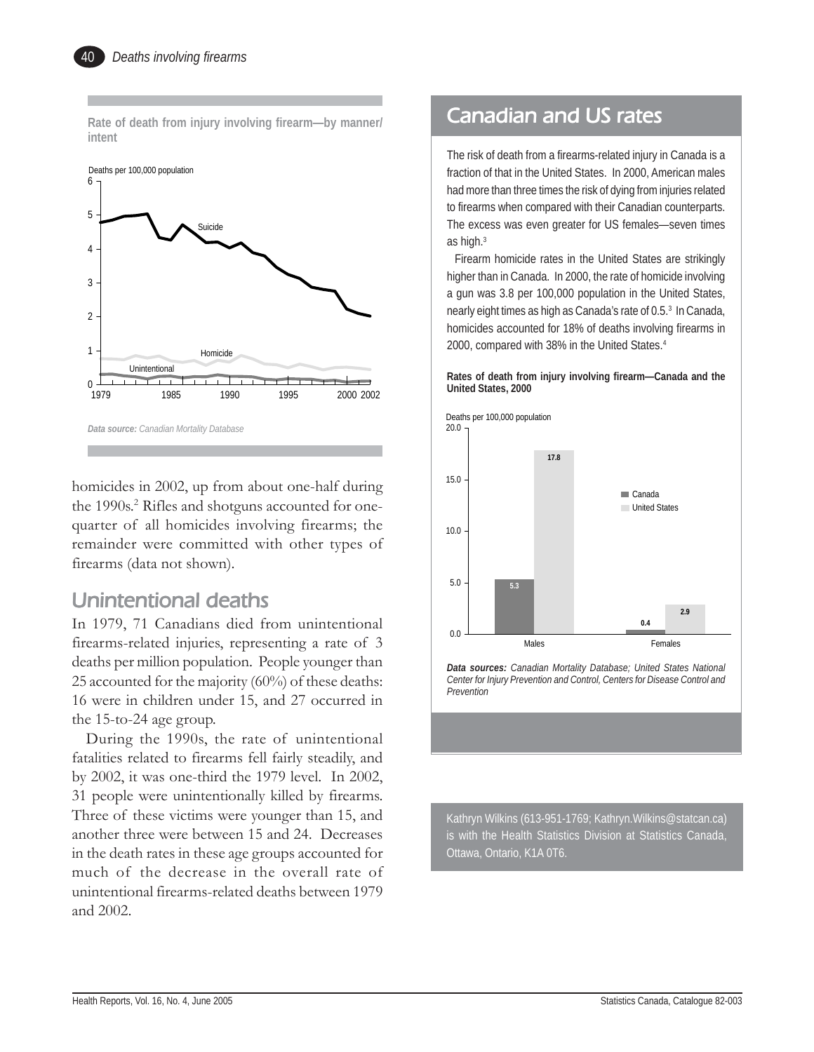**Rate of death from injury involving firearm—by manner/ intent**



homicides in 2002, up from about one-half during the 1990s.<sup>2</sup> Rifles and shotguns accounted for onequarter of all homicides involving firearms; the remainder were committed with other types of firearms (data not shown).

# Unintentional deaths Unintentional deaths

In 1979, 71 Canadians died from unintentional firearms-related injuries, representing a rate of 3 deaths per million population. People younger than 25 accounted for the majority (60%) of these deaths: 16 were in children under 15, and 27 occurred in the 15-to-24 age group.

During the 1990s, the rate of unintentional fatalities related to firearms fell fairly steadily, and by 2002, it was one-third the 1979 level. In 2002, 31 people were unintentionally killed by firearms. Three of these victims were younger than 15, and another three were between 15 and 24. Decreases in the death rates in these age groups accounted for much of the decrease in the overall rate of unintentional firearms-related deaths between 1979 and 2002.

### **Canadian and US rates**

The risk of death from a firearms-related injury in Canada is a fraction of that in the United States. In 2000, American males had more than three times the risk of dying from injuries related to firearms when compared with their Canadian counterparts. The excess was even greater for US females—seven times as high.3

Firearm homicide rates in the United States are strikingly higher than in Canada. In 2000, the rate of homicide involving a gun was 3.8 per 100,000 population in the United States, nearly eight times as high as Canada's rate of 0.5.<sup>3</sup> In Canada, homicides accounted for 18% of deaths involving firearms in 2000, compared with 38% in the United States.4

**Rates of death from injury involving firearm—Canada and the United States, 2000**



*Data sources: Canadian Mortality Database; United States National Center for Injury Prevention and Control, Centers for Disease Control and Prevention*

Kathryn Wilkins (613-951-1769; Kathryn.Wilkins@statcan.ca) is with the Health Statistics Division at Statistics Canada, Ottawa, Ontario, K1A 0T6.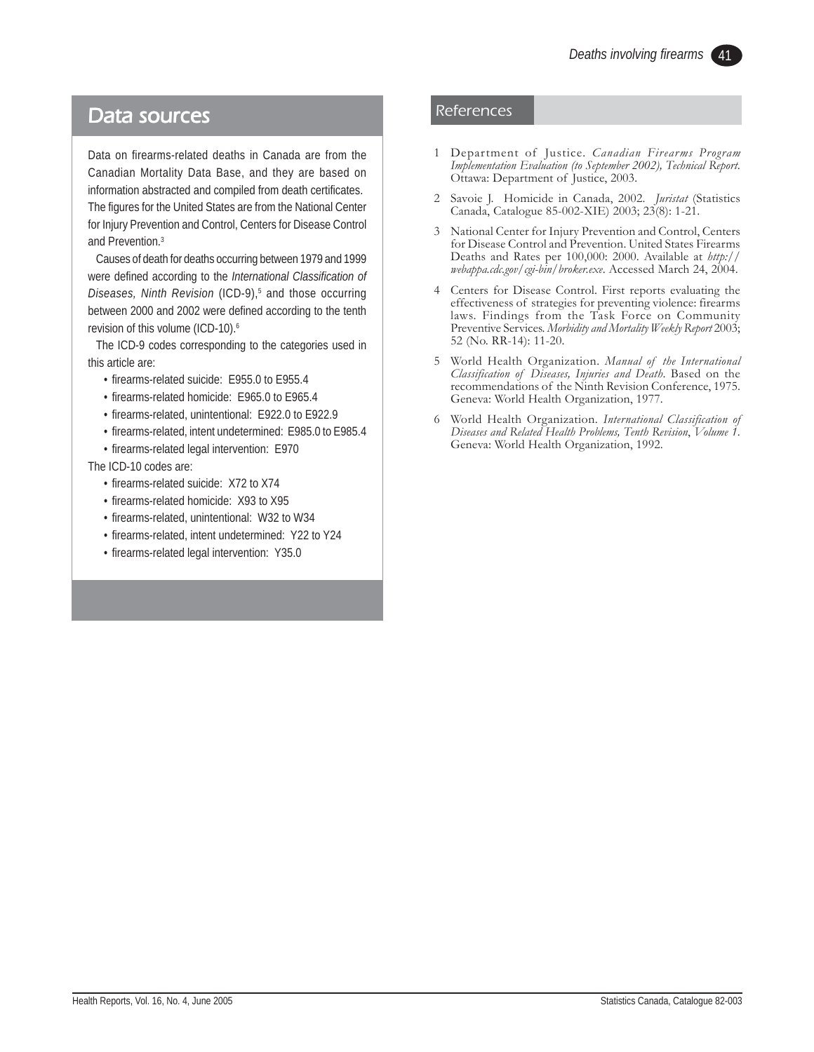### Data sources

Data on firearms-related deaths in Canada are from the Canadian Mortality Data Base, and they are based on information abstracted and compiled from death certificates. The figures for the United States are from the National Center for Injury Prevention and Control, Centers for Disease Control and Prevention.3

Causes of death for deaths occurring between 1979 and 1999 were defined according to the *International Classification of* Diseases, Ninth Revision (ICD-9)<sup>5</sup> and those occurring between 2000 and 2002 were defined according to the tenth revision of this volume (ICD-10).<sup>6</sup>

The ICD-9 codes corresponding to the categories used in this article are:

- firearms-related suicide: E955.0 to E955.4
- firearms-related homicide: E965.0 to E965.4
- firearms-related, unintentional: E922.0 to E922.9
- firearms-related, intent undetermined: E985.0 to E985.4
- firearms-related legal intervention: E970

The ICD-10 codes are:

- firearms-related suicide: X72 to X74
- firearms-related homicide: X93 to X95
- firearms-related, unintentional: W32 to W34
- firearms-related, intent undetermined: Y22 to Y24
- firearms-related legal intervention: Y35.0

#### References

- 1 Department of Justice. *Canadian Firearms Program Implementation Evaluation (to September 2002), Technical Report*. Ottawa: Department of Justice, 2003.
- 2 Savoie J. Homicide in Canada, 2002. *Juristat* (Statistics Canada, Catalogue 85-002-XIE) 2003; 23(8): 1-21.
- 3 National Center for Injury Prevention and Control, Centers for Disease Control and Prevention. United States Firearms Deaths and Rates per 100,000: 2000. Available at *http:// webappa.cdc.gov/cgi-bin/broker.exe*. Accessed March 24, 2004.
- 4 Centers for Disease Control. First reports evaluating the effectiveness of strategies for preventing violence: firearms laws. Findings from the Task Force on Community Preventive Services. *Morbidity and Mortality Weekly Report* 2003; 52 (No. RR-14): 11-20.
- 5 World Health Organization. *Manual of the International Classification of Diseases, Injuries and Death*. Based on the recommendations of the Ninth Revision Conference, 1975. Geneva: World Health Organization, 1977.
- 6 World Health Organization. *International Classification of Diseases and Related Health Problems, Tenth Revision*, *Volume 1*. Geneva: World Health Organization, 1992.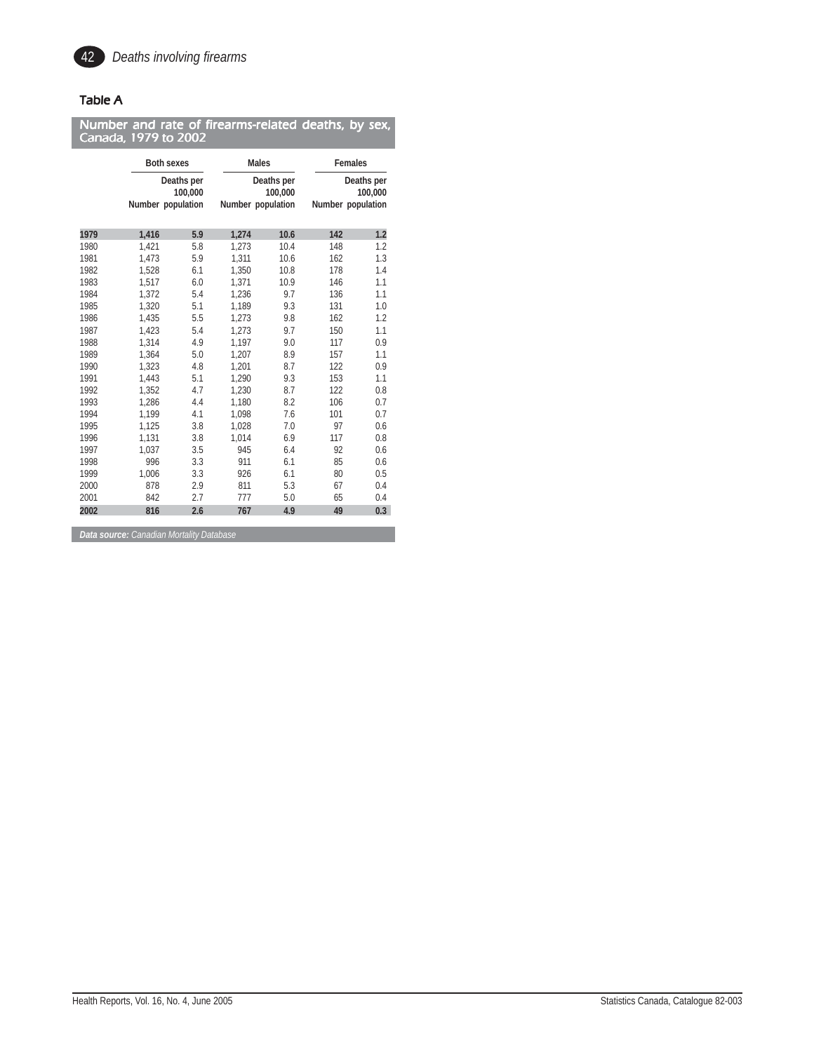

#### Table A

| Canada, 1979 to 2002 |       |                                            | Number and rate of firearms-related deaths, by sex, |                                            |         |                                            |  |
|----------------------|-------|--------------------------------------------|-----------------------------------------------------|--------------------------------------------|---------|--------------------------------------------|--|
|                      |       | <b>Both sexes</b>                          |                                                     | <b>Males</b>                               | Females |                                            |  |
|                      |       | Deaths per<br>100,000<br>Number population |                                                     | Deaths per<br>100,000<br>Number population |         | Deaths per<br>100,000<br>Number population |  |
| 1979                 | 1,416 | 5.9                                        | 1.274                                               | 10.6                                       | 142     | 1.2                                        |  |
| 1980                 | 1,421 | 5.8                                        | 1,273                                               | 10.4                                       | 148     | 1.2                                        |  |
| 1981                 | 1.473 | 5.9                                        | 1.311                                               | 10.6                                       | 162     | 1.3                                        |  |
| 1982                 | 1.528 | 6.1                                        | 1,350                                               | 10.8                                       | 178     | 1.4                                        |  |
| 1983                 | 1,517 | 6.0                                        | 1,371                                               | 10.9                                       | 146     | 1.1                                        |  |
| 1984                 | 1.372 | 5.4                                        | 1,236                                               | 9.7                                        | 136     | 1.1                                        |  |
| 1985                 | 1,320 | 5.1                                        | 1,189                                               | 9.3                                        | 131     | 1.0                                        |  |
| 1986                 | 1,435 | 5.5                                        | 1,273                                               | 9.8                                        | 162     | 1.2                                        |  |
| 1987                 | 1.423 | 5.4                                        | 1.273                                               | 9.7                                        | 150     | 1.1                                        |  |
| 1988                 | 1,314 | 4.9                                        | 1,197                                               | 9.0                                        | 117     | 0.9                                        |  |
| 1989                 | 1.364 | 5.0                                        | 1.207                                               | 8.9                                        | 157     | 1.1                                        |  |
| 1990                 | 1,323 | 4.8                                        | 1,201                                               | 8.7                                        | 122     | 0.9                                        |  |
| 1991                 | 1.443 | 5.1                                        | 1,290                                               | 9.3                                        | 153     | 1.1                                        |  |
| 1992                 | 1.352 | 4.7                                        | 1.230                                               | 8.7                                        | 122     | 0.8                                        |  |
| 1993                 | 1,286 | 4.4                                        | 1,180                                               | 8.2                                        | 106     | 0.7                                        |  |
| 1994                 | 1.199 | 4.1                                        | 1.098                                               | 7.6                                        | 101     | 0.7                                        |  |
| 1995                 | 1,125 | 3.8                                        | 1,028                                               | 7.0                                        | 97      | 0.6                                        |  |
| 1996                 | 1,131 | 3.8                                        | 1,014                                               | 6.9                                        | 117     | 0.8                                        |  |
| 1997                 | 1.037 | 3.5                                        | 945                                                 | 6.4                                        | 92      | 0.6                                        |  |
| 1998                 | 996   | 3.3                                        | 911                                                 | 6.1                                        | 85      | 0.6                                        |  |
| 1999                 | 1.006 | 3.3                                        | 926                                                 | 6.1                                        | 80      | 0.5                                        |  |
| 2000                 | 878   | 2.9                                        | 811                                                 | 5.3                                        | 67      | 0.4                                        |  |
| 2001                 | 842   | 2.7                                        | 777                                                 | 5.0                                        | 65      | 0.4                                        |  |
| 2002                 | 816   | 2.6                                        | 767                                                 | 4.9                                        | 49      | 0.3                                        |  |

*Data source: Canadian Mortality Database*